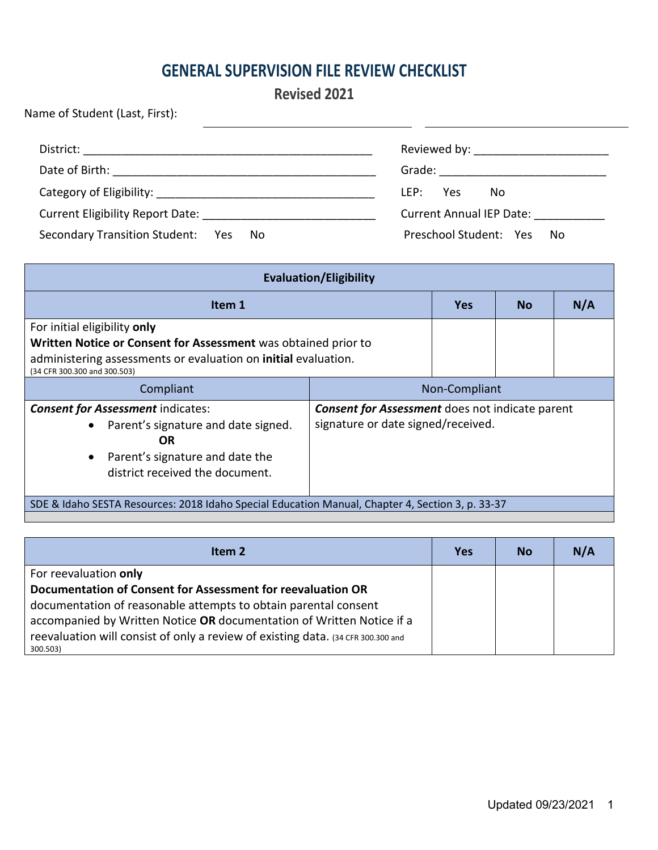## **GENERAL SUPERVISION FILE REVIEW CHECKLIST**

### **Revised 2021**

| Name of Student (Last, First):            |                                    |
|-------------------------------------------|------------------------------------|
|                                           |                                    |
|                                           | Grade: ___________________________ |
|                                           | LEP:<br>Yes.<br>No                 |
|                                           | <b>Current Annual IEP Date:</b>    |
| Secondary Transition Student: Yes<br>. No | Preschool Student: Yes<br>No.      |

| <b>Evaluation/Eligibility</b>                                                                                                                                                                    |                                                                                              |            |           |     |
|--------------------------------------------------------------------------------------------------------------------------------------------------------------------------------------------------|----------------------------------------------------------------------------------------------|------------|-----------|-----|
| Item 1                                                                                                                                                                                           |                                                                                              | <b>Yes</b> | <b>No</b> | N/A |
| For initial eligibility only<br>Written Notice or Consent for Assessment was obtained prior to<br>administering assessments or evaluation on initial evaluation.<br>(34 CFR 300.300 and 300.503) |                                                                                              |            |           |     |
| Compliant                                                                                                                                                                                        | Non-Compliant                                                                                |            |           |     |
| <b>Consent for Assessment indicates:</b><br>Parent's signature and date signed.<br>$\bullet$<br>OR<br>Parent's signature and date the<br>$\bullet$<br>district received the document.            | <b>Consent for Assessment</b> does not indicate parent<br>signature or date signed/received. |            |           |     |
| SDE & Idaho SESTA Resources: 2018 Idaho Special Education Manual, Chapter 4, Section 3, p. 33-37                                                                                                 |                                                                                              |            |           |     |

| Item 2                                                                                                                                                                | <b>Yes</b> | <b>No</b> | N/A |
|-----------------------------------------------------------------------------------------------------------------------------------------------------------------------|------------|-----------|-----|
| For reevaluation only                                                                                                                                                 |            |           |     |
| Documentation of Consent for Assessment for reevaluation OR<br>documentation of reasonable attempts to obtain parental consent                                        |            |           |     |
| accompanied by Written Notice OR documentation of Written Notice if a<br>reevaluation will consist of only a review of existing data. (34 CFR 300.300 and<br>300.503) |            |           |     |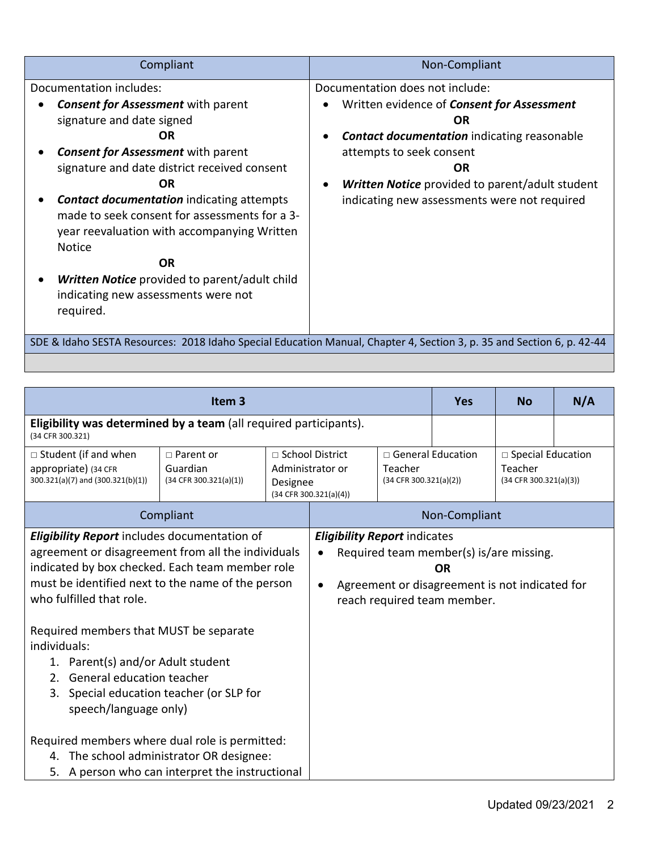| Compliant                                                                                                                                                                                                                                                                                                                                                                                                                                                                                                | Non-Compliant                                                                                                                                                                                                                                                                                              |
|----------------------------------------------------------------------------------------------------------------------------------------------------------------------------------------------------------------------------------------------------------------------------------------------------------------------------------------------------------------------------------------------------------------------------------------------------------------------------------------------------------|------------------------------------------------------------------------------------------------------------------------------------------------------------------------------------------------------------------------------------------------------------------------------------------------------------|
| Documentation includes:<br><b>Consent for Assessment</b> with parent<br>signature and date signed<br>ΟR<br><b>Consent for Assessment</b> with parent<br>signature and date district received consent<br>OR<br><b>Contact documentation indicating attempts</b><br>made to seek consent for assessments for a 3-<br>year reevaluation with accompanying Written<br><b>Notice</b><br><b>OR</b><br><b>Written Notice</b> provided to parent/adult child<br>indicating new assessments were not<br>required. | Documentation does not include:<br>Written evidence of <b>Consent for Assessment</b><br><b>OR</b><br><b>Contact documentation indicating reasonable</b><br>attempts to seek consent<br><b>OR</b><br><b>Written Notice</b> provided to parent/adult student<br>indicating new assessments were not required |
|                                                                                                                                                                                                                                                                                                                                                                                                                                                                                                          | SDE & Idaho SESTA Resources: 2018 Idaho Special Education Manual, Chapter 4, Section 3, p. 35 and Section 6, p. 42-44                                                                                                                                                                                      |

|                                                                                                                                                                                                                                                                                                                                                                                                                                                         | Item <sub>3</sub>                                      |                                                                                                                                         |                                                                                                                                                                                                            |  | <b>Yes</b>                                                    | <b>No</b> | N/A |
|---------------------------------------------------------------------------------------------------------------------------------------------------------------------------------------------------------------------------------------------------------------------------------------------------------------------------------------------------------------------------------------------------------------------------------------------------------|--------------------------------------------------------|-----------------------------------------------------------------------------------------------------------------------------------------|------------------------------------------------------------------------------------------------------------------------------------------------------------------------------------------------------------|--|---------------------------------------------------------------|-----------|-----|
| Eligibility was determined by a team (all required participants).<br>(34 CFR 300.321)                                                                                                                                                                                                                                                                                                                                                                   |                                                        |                                                                                                                                         |                                                                                                                                                                                                            |  |                                                               |           |     |
| $\Box$ Student (if and when<br>appropriate) (34 CFR<br>300.321(a)(7) and (300.321(b)(1))                                                                                                                                                                                                                                                                                                                                                                | $\Box$ Parent or<br>Guardian<br>(34 CFR 300.321(a)(1)) | □ General Education<br>□ School District<br>Administrator or<br>Teacher<br>(34 CFR 300.321(a)(2))<br>Designee<br>(34 CFR 300.321(a)(4)) |                                                                                                                                                                                                            |  | $\Box$ Special Education<br>Teacher<br>(34 CFR 300.321(a)(3)) |           |     |
|                                                                                                                                                                                                                                                                                                                                                                                                                                                         | Compliant                                              |                                                                                                                                         |                                                                                                                                                                                                            |  |                                                               |           |     |
| <b>Eligibility Report</b> includes documentation of<br>agreement or disagreement from all the individuals<br>indicated by box checked. Each team member role<br>must be identified next to the name of the person<br>who fulfilled that role.<br>Required members that MUST be separate<br>individuals:<br>1. Parent(s) and/or Adult student<br>General education teacher<br>2.<br>Special education teacher (or SLP for<br>3.<br>speech/language only) |                                                        |                                                                                                                                         | Non-Compliant<br><b>Eligibility Report indicates</b><br>Required team member(s) is/are missing.<br>$\bullet$<br><b>OR</b><br>Agreement or disagreement is not indicated for<br>reach required team member. |  |                                                               |           |     |
| Required members where dual role is permitted:<br>4. The school administrator OR designee:<br>5. A person who can interpret the instructional                                                                                                                                                                                                                                                                                                           |                                                        |                                                                                                                                         |                                                                                                                                                                                                            |  |                                                               |           |     |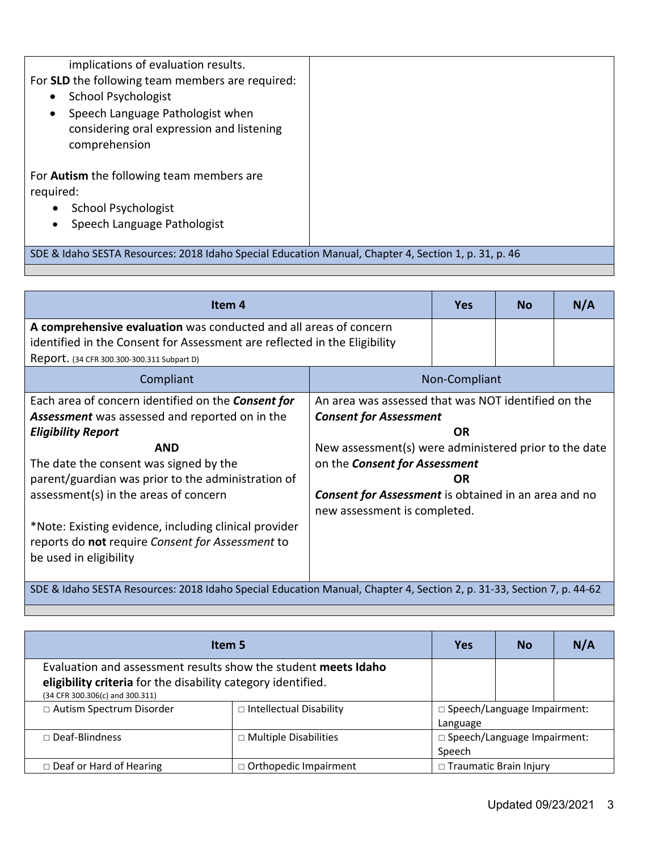| implications of evaluation results.<br>For SLD the following team members are required:<br><b>School Psychologist</b><br>$\bullet$<br>Speech Language Pathologist when<br>$\bullet$<br>considering oral expression and listening<br>comprehension |  |
|---------------------------------------------------------------------------------------------------------------------------------------------------------------------------------------------------------------------------------------------------|--|
| For <b>Autism</b> the following team members are<br>required:                                                                                                                                                                                     |  |
| <b>School Psychologist</b>                                                                                                                                                                                                                        |  |
| Speech Language Pathologist                                                                                                                                                                                                                       |  |
| SDE & Idaho SESTA Resources: 2018 Idaho Special Education Manual, Chapter 4, Section 1, p. 31, p. 46                                                                                                                                              |  |

| Item 4                                                                                                                                                                                                                                                        |                                                                                                                                                                                                    | <b>Yes</b> | <b>No</b> | N/A |
|---------------------------------------------------------------------------------------------------------------------------------------------------------------------------------------------------------------------------------------------------------------|----------------------------------------------------------------------------------------------------------------------------------------------------------------------------------------------------|------------|-----------|-----|
| A comprehensive evaluation was conducted and all areas of concern<br>identified in the Consent for Assessment are reflected in the Eligibility                                                                                                                |                                                                                                                                                                                                    |            |           |     |
| Report. (34 CFR 300.300-300.311 Subpart D)                                                                                                                                                                                                                    |                                                                                                                                                                                                    |            |           |     |
| Compliant<br>Non-Compliant                                                                                                                                                                                                                                    |                                                                                                                                                                                                    |            |           |     |
| Each area of concern identified on the <b>Consent for</b><br><b>Assessment</b> was assessed and reported on in the<br><b>Eligibility Report</b><br><b>AND</b><br>The date the consent was signed by the<br>parent/guardian was prior to the administration of | An area was assessed that was NOT identified on the<br><b>Consent for Assessment</b><br><b>OR</b><br>New assessment(s) were administered prior to the date<br>on the <b>Consent for Assessment</b> |            |           |     |
| assessment(s) in the areas of concern                                                                                                                                                                                                                         | <b>Consent for Assessment</b> is obtained in an area and no<br>new assessment is completed.                                                                                                        | <b>OR</b>  |           |     |
| *Note: Existing evidence, including clinical provider<br>reports do not require Consent for Assessment to<br>be used in eligibility                                                                                                                           |                                                                                                                                                                                                    |            |           |     |
| SDE & Idaho SESTA Resources: 2018 Idaho Special Education Manual, Chapter 4, Section 2, p. 31-33, Section 7, p. 44-62                                                                                                                                         |                                                                                                                                                                                                    |            |           |     |

| Item 5                                                                                                                                                            |                                |                                                | <b>No</b>                     | N/A |
|-------------------------------------------------------------------------------------------------------------------------------------------------------------------|--------------------------------|------------------------------------------------|-------------------------------|-----|
| Evaluation and assessment results show the student meets Idaho<br>eligibility criteria for the disability category identified.<br>(34 CFR 300.306(c) and 300.311) |                                |                                                |                               |     |
| □ Autism Spectrum Disorder                                                                                                                                        | $\Box$ Intellectual Disability | $\Box$ Speech/Language Impairment:<br>Language |                               |     |
| $\Box$ Deaf-Blindness                                                                                                                                             | □ Multiple Disabilities        | Speech                                         | □ Speech/Language Impairment: |     |
| $\Box$ Deaf or Hard of Hearing                                                                                                                                    | □ Orthopedic Impairment        | $\Box$ Traumatic Brain Injury                  |                               |     |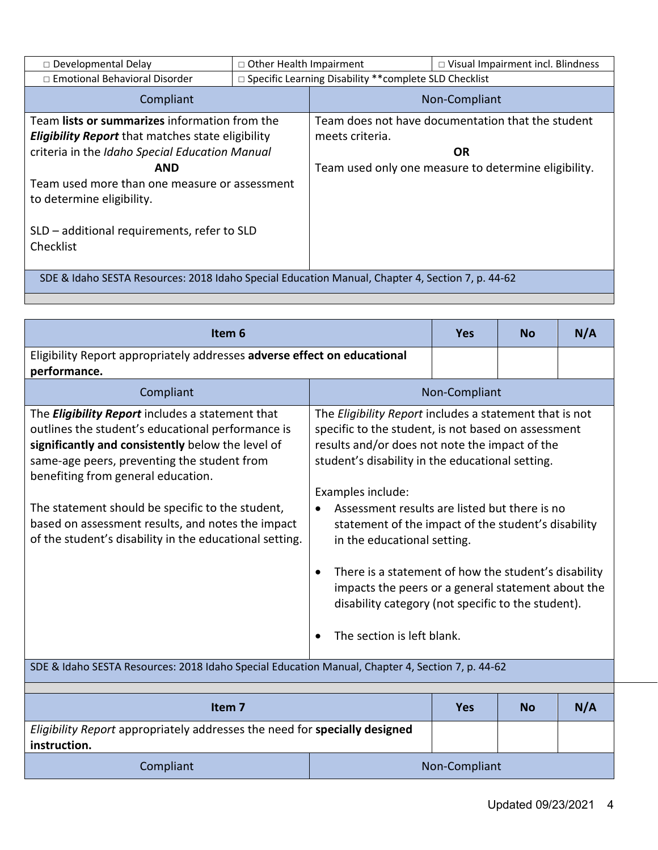| $\square$ Developmental Delay                                                                    |                                                | $\Box$ Other Health Impairment<br>$\Box$ Visual Impairment incl. Blindness |                                                      |
|--------------------------------------------------------------------------------------------------|------------------------------------------------|----------------------------------------------------------------------------|------------------------------------------------------|
| □ Emotional Behavioral Disorder                                                                  |                                                | □ Specific Learning Disability ** complete SLD Checklist                   |                                                      |
| Compliant                                                                                        |                                                | Non-Compliant                                                              |                                                      |
| Team lists or summarizes information from the                                                    |                                                |                                                                            | Team does not have documentation that the student    |
| <b>Eligibility Report</b> that matches state eligibility                                         |                                                | meets criteria.                                                            |                                                      |
|                                                                                                  | criteria in the Idaho Special Education Manual |                                                                            | <b>OR</b>                                            |
| AND                                                                                              |                                                |                                                                            | Team used only one measure to determine eligibility. |
| Team used more than one measure or assessment                                                    |                                                |                                                                            |                                                      |
| to determine eligibility.                                                                        |                                                |                                                                            |                                                      |
|                                                                                                  |                                                |                                                                            |                                                      |
| SLD – additional requirements, refer to SLD                                                      |                                                |                                                                            |                                                      |
| Checklist                                                                                        |                                                |                                                                            |                                                      |
|                                                                                                  |                                                |                                                                            |                                                      |
| SDE & Idaho SESTA Resources: 2018 Idaho Special Education Manual, Chapter 4, Section 7, p. 44-62 |                                                |                                                                            |                                                      |

| Item <sub>6</sub>                                                                                                                                                                                                                                                                                                                                                                                                                                                                                                              |                                                                                                                                                                                                                                                                                                                                                                                                                                                                                                                                                                                                                           | <b>Yes</b>    | <b>No</b> | N/A |
|--------------------------------------------------------------------------------------------------------------------------------------------------------------------------------------------------------------------------------------------------------------------------------------------------------------------------------------------------------------------------------------------------------------------------------------------------------------------------------------------------------------------------------|---------------------------------------------------------------------------------------------------------------------------------------------------------------------------------------------------------------------------------------------------------------------------------------------------------------------------------------------------------------------------------------------------------------------------------------------------------------------------------------------------------------------------------------------------------------------------------------------------------------------------|---------------|-----------|-----|
| Eligibility Report appropriately addresses adverse effect on educational<br>performance.                                                                                                                                                                                                                                                                                                                                                                                                                                       |                                                                                                                                                                                                                                                                                                                                                                                                                                                                                                                                                                                                                           |               |           |     |
| Compliant                                                                                                                                                                                                                                                                                                                                                                                                                                                                                                                      |                                                                                                                                                                                                                                                                                                                                                                                                                                                                                                                                                                                                                           | Non-Compliant |           |     |
| The <i>Eligibility Report</i> includes a statement that<br>outlines the student's educational performance is<br>significantly and consistently below the level of<br>same-age peers, preventing the student from<br>benefiting from general education.<br>The statement should be specific to the student,<br>based on assessment results, and notes the impact<br>of the student's disability in the educational setting.<br>SDE & Idaho SESTA Resources: 2018 Idaho Special Education Manual, Chapter 4, Section 7, p. 44-62 | The Eligibility Report includes a statement that is not<br>specific to the student, is not based on assessment<br>results and/or does not note the impact of the<br>student's disability in the educational setting.<br>Examples include:<br>Assessment results are listed but there is no<br>$\bullet$<br>statement of the impact of the student's disability<br>in the educational setting.<br>There is a statement of how the student's disability<br>$\bullet$<br>impacts the peers or a general statement about the<br>disability category (not specific to the student).<br>The section is left blank.<br>$\bullet$ |               |           |     |
|                                                                                                                                                                                                                                                                                                                                                                                                                                                                                                                                |                                                                                                                                                                                                                                                                                                                                                                                                                                                                                                                                                                                                                           |               |           |     |
| Item <sub>7</sub>                                                                                                                                                                                                                                                                                                                                                                                                                                                                                                              |                                                                                                                                                                                                                                                                                                                                                                                                                                                                                                                                                                                                                           | <b>Yes</b>    | <b>No</b> | N/A |
| Eligibility Report appropriately addresses the need for specially designed<br>instruction.                                                                                                                                                                                                                                                                                                                                                                                                                                     |                                                                                                                                                                                                                                                                                                                                                                                                                                                                                                                                                                                                                           |               |           |     |
| Compliant                                                                                                                                                                                                                                                                                                                                                                                                                                                                                                                      | Non-Compliant                                                                                                                                                                                                                                                                                                                                                                                                                                                                                                                                                                                                             |               |           |     |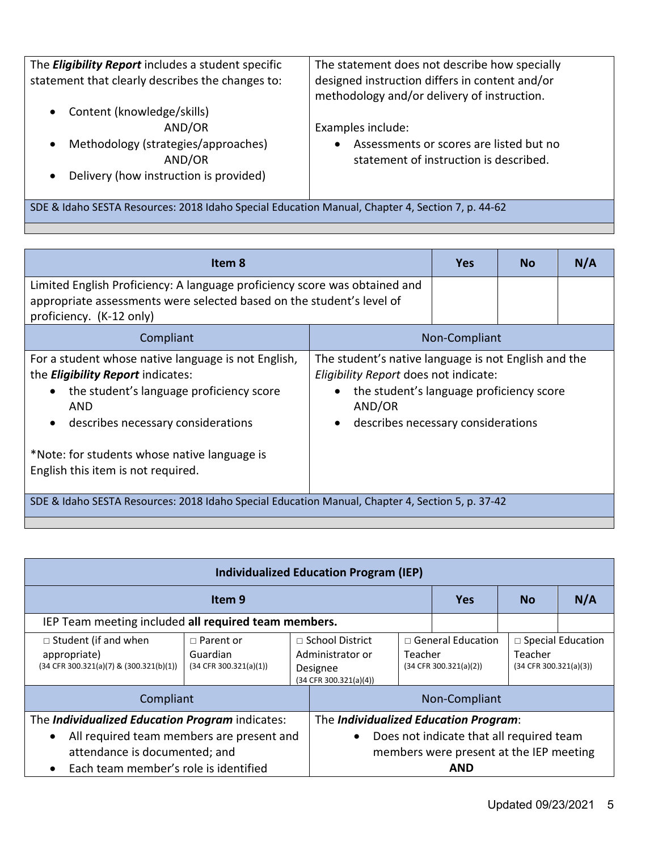| The <i>Eligibility Report</i> includes a student specific<br>statement that clearly describes the changes to: | The statement does not describe how specially<br>designed instruction differs in content and/or<br>methodology and/or delivery of instruction. |
|---------------------------------------------------------------------------------------------------------------|------------------------------------------------------------------------------------------------------------------------------------------------|
| Content (knowledge/skills)<br>$\bullet$<br>AND/OR                                                             | Examples include:                                                                                                                              |
| Methodology (strategies/approaches)<br>$\bullet$<br>AND/OR                                                    | Assessments or scores are listed but no<br>$\bullet$<br>statement of instruction is described.                                                 |
| Delivery (how instruction is provided)<br>$\bullet$                                                           |                                                                                                                                                |

SDE & Idaho SESTA Resources: 2018 Idaho Special Education Manual, Chapter 4, Section 7, p. 44-62

| Item 8                                                                                                                                                                                                                                                                                                   |                                                                                                                                                                                                                     | <b>Yes</b> | <b>No</b> | N/A |
|----------------------------------------------------------------------------------------------------------------------------------------------------------------------------------------------------------------------------------------------------------------------------------------------------------|---------------------------------------------------------------------------------------------------------------------------------------------------------------------------------------------------------------------|------------|-----------|-----|
| Limited English Proficiency: A language proficiency score was obtained and<br>appropriate assessments were selected based on the student's level of<br>proficiency. (K-12 only)                                                                                                                          |                                                                                                                                                                                                                     |            |           |     |
| Compliant                                                                                                                                                                                                                                                                                                | Non-Compliant                                                                                                                                                                                                       |            |           |     |
| For a student whose native language is not English,<br>the <i>Eligibility Report</i> indicates:<br>the student's language proficiency score<br>$\bullet$<br>AND<br>describes necessary considerations<br>$\bullet$<br>*Note: for students whose native language is<br>English this item is not required. | The student's native language is not English and the<br>Eligibility Report does not indicate:<br>the student's language proficiency score<br>$\bullet$<br>AND/OR<br>describes necessary considerations<br>$\bullet$ |            |           |     |
| SDE & Idaho SESTA Resources: 2018 Idaho Special Education Manual, Chapter 4, Section 5, p. 37-42                                                                                                                                                                                                         |                                                                                                                                                                                                                     |            |           |     |

| <b>Individualized Education Program (IEP)</b>                                              |                                                        |                                                                                             |                                       |                                                    |                                                               |  |  |
|--------------------------------------------------------------------------------------------|--------------------------------------------------------|---------------------------------------------------------------------------------------------|---------------------------------------|----------------------------------------------------|---------------------------------------------------------------|--|--|
| Item <sub>9</sub>                                                                          |                                                        |                                                                                             | <b>Yes</b>                            | <b>No</b>                                          | N/A                                                           |  |  |
| IEP Team meeting included all required team members.                                       |                                                        |                                                                                             |                                       |                                                    |                                                               |  |  |
| $\Box$ Student (if and when<br>appropriate)<br>$(34$ CFR 300.321(a)(7) & $(300.321(b)(1))$ | $\Box$ Parent or<br>Guardian<br>(34 CFR 300.321(a)(1)) | $\Box$ School District<br>Administrator or<br>Teacher<br>Designee<br>(34 CFR 300.321(a)(4)) |                                       | $\Box$ General Education<br>(34 CFR 300.321(a)(2)) | $\Box$ Special Education<br>Teacher<br>(34 CFR 300.321(a)(3)) |  |  |
| Compliant                                                                                  |                                                        |                                                                                             | Non-Compliant                         |                                                    |                                                               |  |  |
| The Individualized Education Program indicates:                                            |                                                        |                                                                                             | The Individualized Education Program: |                                                    |                                                               |  |  |
| All required team members are present and<br>$\bullet$                                     |                                                        | Does not indicate that all required team                                                    |                                       |                                                    |                                                               |  |  |
| members were present at the IEP meeting<br>attendance is documented; and                   |                                                        |                                                                                             |                                       |                                                    |                                                               |  |  |
| Each team member's role is identified                                                      |                                                        |                                                                                             |                                       |                                                    | <b>AND</b>                                                    |  |  |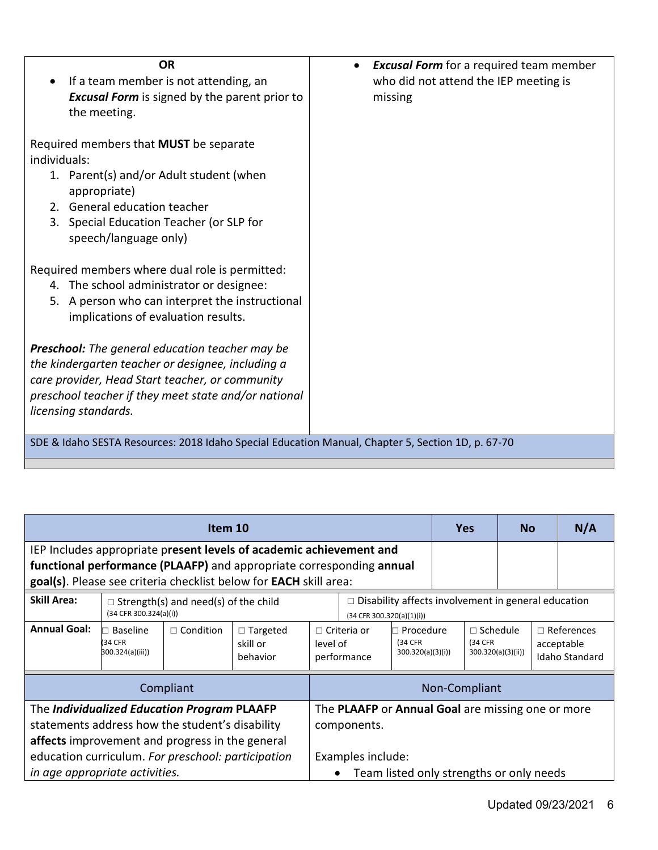| <b>OR</b><br>If a team member is not attending, an<br>$\bullet$<br><b>Excusal Form</b> is signed by the parent prior to<br>the meeting.                                                                                                        | <b>Excusal Form</b> for a required team member<br>who did not attend the IEP meeting is<br>missing |
|------------------------------------------------------------------------------------------------------------------------------------------------------------------------------------------------------------------------------------------------|----------------------------------------------------------------------------------------------------|
| Required members that MUST be separate<br>individuals:<br>1. Parent(s) and/or Adult student (when<br>appropriate)<br>2. General education teacher<br>3. Special Education Teacher (or SLP for<br>speech/language only)                         |                                                                                                    |
| Required members where dual role is permitted:<br>4. The school administrator or designee:<br>5. A person who can interpret the instructional<br>implications of evaluation results.                                                           |                                                                                                    |
| <b>Preschool:</b> The general education teacher may be<br>the kindergarten teacher or designee, including a<br>care provider, Head Start teacher, or community<br>preschool teacher if they meet state and/or national<br>licensing standards. |                                                                                                    |
| SDE & Idaho SESTA Resources: 2018 Idaho Special Education Manual, Chapter 5, Section 1D, p. 67-70                                                                                                                                              |                                                                                                    |

| Item 10                                                                                                                                                                                                 |                                                                                                                                             |                                                                                       |                                         | <b>Yes</b>                                                                              |                                                                                             | <b>No</b>                                |                            | N/A |                   |  |                                                   |
|---------------------------------------------------------------------------------------------------------------------------------------------------------------------------------------------------------|---------------------------------------------------------------------------------------------------------------------------------------------|---------------------------------------------------------------------------------------|-----------------------------------------|-----------------------------------------------------------------------------------------|---------------------------------------------------------------------------------------------|------------------------------------------|----------------------------|-----|-------------------|--|---------------------------------------------------|
|                                                                                                                                                                                                         | IEP Includes appropriate present levels of academic achievement and<br>functional performance (PLAAFP) and appropriate corresponding annual |                                                                                       |                                         |                                                                                         |                                                                                             |                                          |                            |     |                   |  |                                                   |
| goal(s). Please see criteria checklist below for EACH skill area:                                                                                                                                       |                                                                                                                                             |                                                                                       |                                         |                                                                                         |                                                                                             |                                          |                            |     |                   |  |                                                   |
| <b>Skill Area:</b>                                                                                                                                                                                      | $(34$ CFR 300.324(a)(i))                                                                                                                    | $\Box$ Strength(s) and need(s) of the child                                           |                                         | $\Box$ Disability affects involvement in general education<br>(34 CFR 300.320(a)(1)(i)) |                                                                                             |                                          |                            |     |                   |  |                                                   |
| <b>Annual Goal:</b>                                                                                                                                                                                     | Baseline<br>(34 CFR<br>300.324(a)(iii))                                                                                                     | $\Box$ Condition                                                                      | $\Box$ Targeted<br>skill or<br>behavior |                                                                                         | $\Box$ Criteria or<br>Procedure<br>(34 CFR)<br>level of<br>300.320(a)(3)(i))<br>performance |                                          | $\Box$ Schedule<br>(34 CFR |     | 300.320(a)(3)(ii) |  | $\Box$ References<br>acceptable<br>Idaho Standard |
|                                                                                                                                                                                                         |                                                                                                                                             | Compliant                                                                             |                                         |                                                                                         |                                                                                             |                                          | Non-Compliant              |     |                   |  |                                                   |
| The Individualized Education Program PLAAFP<br>statements address how the student's disability<br>affects improvement and progress in the general<br>education curriculum. For preschool: participation |                                                                                                                                             | The PLAAFP or Annual Goal are missing one or more<br>components.<br>Examples include: |                                         |                                                                                         |                                                                                             |                                          |                            |     |                   |  |                                                   |
| in age appropriate activities.                                                                                                                                                                          |                                                                                                                                             |                                                                                       |                                         |                                                                                         |                                                                                             | Team listed only strengths or only needs |                            |     |                   |  |                                                   |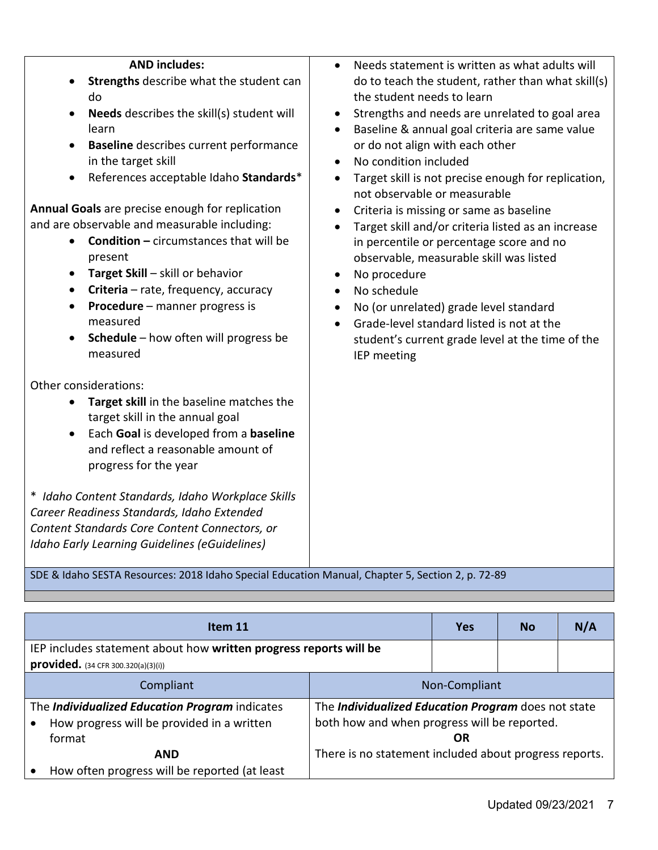| <b>AND includes:</b><br>Strengths describe what the student can<br>do<br>Needs describes the skill(s) student will<br>learn<br><b>Baseline</b> describes current performance<br>in the target skill<br>References acceptable Idaho Standards*<br>$\bullet$<br>Annual Goals are precise enough for replication<br>and are observable and measurable including:<br><b>Condition - circumstances that will be</b><br>present<br>Target Skill - skill or behavior<br>Criteria - rate, frequency, accuracy<br>$\bullet$<br>Procedure - manner progress is<br>$\bullet$<br>measured<br>Schedule - how often will progress be<br>measured | Needs statement is written as what adults will<br>do to teach the student, rather than what skill(s)<br>the student needs to learn<br>Strengths and needs are unrelated to goal area<br>$\bullet$<br>Baseline & annual goal criteria are same value<br>$\bullet$<br>or do not align with each other<br>No condition included<br>$\bullet$<br>Target skill is not precise enough for replication,<br>$\bullet$<br>not observable or measurable<br>Criteria is missing or same as baseline<br>$\bullet$<br>Target skill and/or criteria listed as an increase<br>in percentile or percentage score and no<br>observable, measurable skill was listed<br>No procedure<br>$\bullet$<br>No schedule<br>No (or unrelated) grade level standard<br>$\bullet$<br>Grade-level standard listed is not at the<br>student's current grade level at the time of the<br>IEP meeting |            |           |     |  |  |
|------------------------------------------------------------------------------------------------------------------------------------------------------------------------------------------------------------------------------------------------------------------------------------------------------------------------------------------------------------------------------------------------------------------------------------------------------------------------------------------------------------------------------------------------------------------------------------------------------------------------------------|-----------------------------------------------------------------------------------------------------------------------------------------------------------------------------------------------------------------------------------------------------------------------------------------------------------------------------------------------------------------------------------------------------------------------------------------------------------------------------------------------------------------------------------------------------------------------------------------------------------------------------------------------------------------------------------------------------------------------------------------------------------------------------------------------------------------------------------------------------------------------|------------|-----------|-----|--|--|
| Other considerations:<br>Target skill in the baseline matches the<br>target skill in the annual goal<br>Each Goal is developed from a baseline<br>and reflect a reasonable amount of<br>progress for the year                                                                                                                                                                                                                                                                                                                                                                                                                      |                                                                                                                                                                                                                                                                                                                                                                                                                                                                                                                                                                                                                                                                                                                                                                                                                                                                       |            |           |     |  |  |
| * Idaho Content Standards, Idaho Workplace Skills<br>Career Readiness Standards, Idaho Extended<br>Content Standards Core Content Connectors, or<br>Idaho Early Learning Guidelines (eGuidelines)                                                                                                                                                                                                                                                                                                                                                                                                                                  |                                                                                                                                                                                                                                                                                                                                                                                                                                                                                                                                                                                                                                                                                                                                                                                                                                                                       |            |           |     |  |  |
| SDE & Idaho SESTA Resources: 2018 Idaho Special Education Manual, Chapter 5, Section 2, p. 72-89                                                                                                                                                                                                                                                                                                                                                                                                                                                                                                                                   |                                                                                                                                                                                                                                                                                                                                                                                                                                                                                                                                                                                                                                                                                                                                                                                                                                                                       |            |           |     |  |  |
| Item 11                                                                                                                                                                                                                                                                                                                                                                                                                                                                                                                                                                                                                            |                                                                                                                                                                                                                                                                                                                                                                                                                                                                                                                                                                                                                                                                                                                                                                                                                                                                       | <b>Yes</b> | <b>No</b> | N/A |  |  |

| IEP includes statement about how written progress reports will be<br><b>provided.</b> $(34 CFR 300.320(a)(3)(i))$ |                                                                                                           |  |  |
|-------------------------------------------------------------------------------------------------------------------|-----------------------------------------------------------------------------------------------------------|--|--|
| Non-Compliant<br>Compliant                                                                                        |                                                                                                           |  |  |
| The Individualized Education Program indicates<br>How progress will be provided in a written<br>format            | The Individualized Education Program does not state<br>both how and when progress will be reported.<br>OR |  |  |
| <b>AND</b><br>How often progress will be reported (at least                                                       | There is no statement included about progress reports.                                                    |  |  |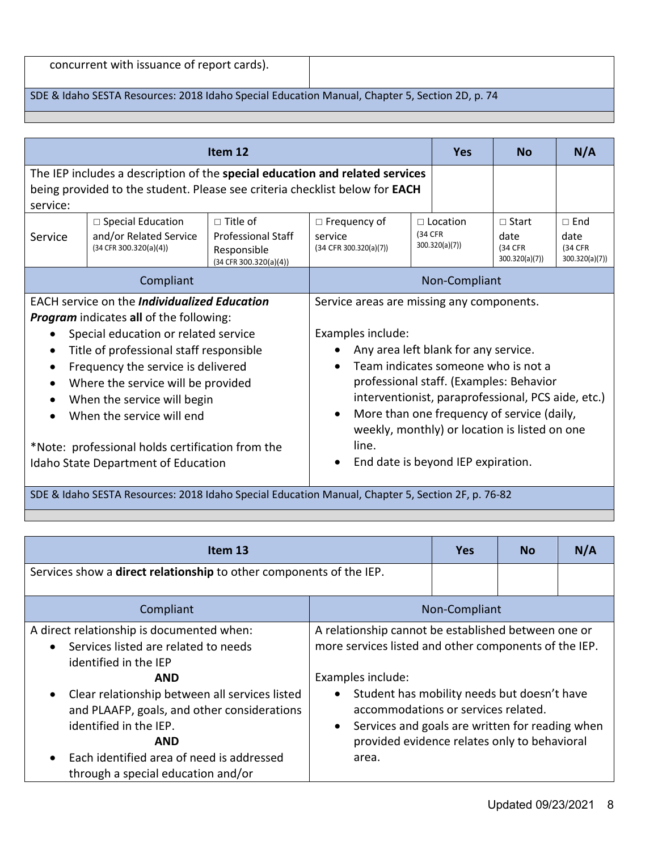| concurrent with issuance of report cards). |  |  |  |
|--------------------------------------------|--|--|--|
|--------------------------------------------|--|--|--|

#### SDE & Idaho SESTA Resources: 2018 Idaho Special Education Manual, Chapter 5, Section 2D, p. 74

|                                                     |                                                                                                                                                                    | Item 12                                                                                                  |                                                                                               | <b>Yes</b>                         | <b>No</b>                | N/A                       |  |
|-----------------------------------------------------|--------------------------------------------------------------------------------------------------------------------------------------------------------------------|----------------------------------------------------------------------------------------------------------|-----------------------------------------------------------------------------------------------|------------------------------------|--------------------------|---------------------------|--|
| service:                                            | The IEP includes a description of the special education and related services<br>being provided to the student. Please see criteria checklist below for <b>EACH</b> |                                                                                                          |                                                                                               |                                    |                          |                           |  |
| Service                                             | $\Box$ Special Education<br>and/or Related Service                                                                                                                 | $\Box$ Title of<br><b>Professional Staff</b>                                                             | $\Box$ Frequency of<br>service                                                                | $\Box$ Location<br>(34 CFR)        | $\Box$ Start<br>date     | $\Box$ End<br>date        |  |
|                                                     | (34 CFR 300.320(a)(4))                                                                                                                                             | Responsible<br>(34 CFR 300.320(a)(4))                                                                    | $(34$ CFR 300.320(a)(7))                                                                      | 300.320(a)(7)                      | (34 CFR<br>300.320(a)(7) | (34 CFR<br>300.320(a)(7)) |  |
| Compliant                                           |                                                                                                                                                                    |                                                                                                          |                                                                                               | Non-Compliant                      |                          |                           |  |
| <b>EACH service on the Individualized Education</b> |                                                                                                                                                                    | Service areas are missing any components.                                                                |                                                                                               |                                    |                          |                           |  |
|                                                     | <b>Program</b> indicates all of the following:                                                                                                                     |                                                                                                          |                                                                                               |                                    |                          |                           |  |
|                                                     | Special education or related service                                                                                                                               |                                                                                                          | Examples include:                                                                             |                                    |                          |                           |  |
| $\bullet$                                           | Title of professional staff responsible                                                                                                                            |                                                                                                          | Any area left blank for any service.                                                          |                                    |                          |                           |  |
| $\bullet$                                           | Frequency the service is delivered                                                                                                                                 |                                                                                                          | Team indicates someone who is not a<br>$\bullet$                                              |                                    |                          |                           |  |
| $\bullet$                                           | Where the service will be provided                                                                                                                                 |                                                                                                          | professional staff. (Examples: Behavior<br>interventionist, paraprofessional, PCS aide, etc.) |                                    |                          |                           |  |
| $\bullet$                                           | When the service will begin                                                                                                                                        |                                                                                                          |                                                                                               |                                    |                          |                           |  |
| When the service will end<br>$\bullet$              |                                                                                                                                                                    | More than one frequency of service (daily,<br>$\bullet$<br>weekly, monthly) or location is listed on one |                                                                                               |                                    |                          |                           |  |
|                                                     | *Note: professional holds certification from the                                                                                                                   |                                                                                                          | line.                                                                                         |                                    |                          |                           |  |
|                                                     | Idaho State Department of Education                                                                                                                                |                                                                                                          |                                                                                               | End date is beyond IEP expiration. |                          |                           |  |

SDE & Idaho SESTA Resources: 2018 Idaho Special Education Manual, Chapter 5, Section 2F, p. 76-82

| Item 13                                                                                                                                                                                                                                                                                                                                               |                                                                                                                                                                                                                                                                                                                                                               | <b>Yes</b> | <b>No</b> | N/A |
|-------------------------------------------------------------------------------------------------------------------------------------------------------------------------------------------------------------------------------------------------------------------------------------------------------------------------------------------------------|---------------------------------------------------------------------------------------------------------------------------------------------------------------------------------------------------------------------------------------------------------------------------------------------------------------------------------------------------------------|------------|-----------|-----|
| Services show a direct relationship to other components of the IEP.                                                                                                                                                                                                                                                                                   |                                                                                                                                                                                                                                                                                                                                                               |            |           |     |
| Compliant                                                                                                                                                                                                                                                                                                                                             | Non-Compliant                                                                                                                                                                                                                                                                                                                                                 |            |           |     |
| A direct relationship is documented when:<br>Services listed are related to needs<br>$\bullet$<br>identified in the IEP<br><b>AND</b><br>Clear relationship between all services listed<br>$\bullet$<br>and PLAAFP, goals, and other considerations<br>identified in the IEP.<br><b>AND</b><br>Each identified area of need is addressed<br>$\bullet$ | A relationship cannot be established between one or<br>more services listed and other components of the IEP.<br>Examples include:<br>Student has mobility needs but doesn't have<br>$\bullet$<br>accommodations or services related.<br>Services and goals are written for reading when<br>$\bullet$<br>provided evidence relates only to behavioral<br>area. |            |           |     |
| through a special education and/or                                                                                                                                                                                                                                                                                                                    |                                                                                                                                                                                                                                                                                                                                                               |            |           |     |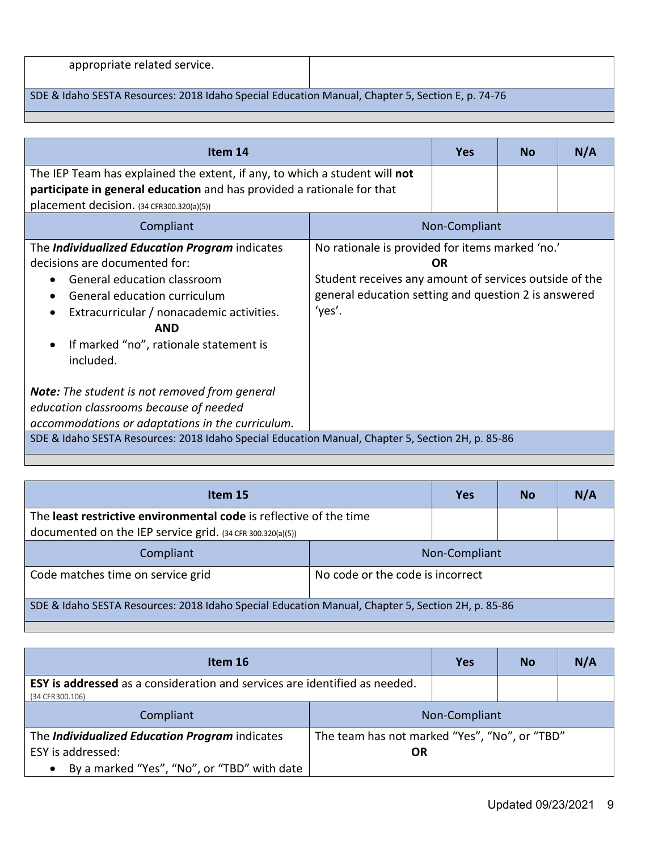#### SDE & Idaho SESTA Resources: 2018 Idaho Special Education Manual, Chapter 5, Section E, p. 74-76

| Item 14                                                                                                                                                                                                                                                                              |                                                                                                                                                                             | <b>Yes</b>    | <b>No</b> | N/A |
|--------------------------------------------------------------------------------------------------------------------------------------------------------------------------------------------------------------------------------------------------------------------------------------|-----------------------------------------------------------------------------------------------------------------------------------------------------------------------------|---------------|-----------|-----|
| The IEP Team has explained the extent, if any, to which a student will not<br>participate in general education and has provided a rationale for that<br>placement decision. $(34 CFR300.320(a)(5))$                                                                                  |                                                                                                                                                                             |               |           |     |
| Compliant                                                                                                                                                                                                                                                                            |                                                                                                                                                                             | Non-Compliant |           |     |
| The <i>Individualized Education Program</i> indicates<br>decisions are documented for:<br>General education classroom<br>General education curriculum<br>Extracurricular / nonacademic activities.<br><b>AND</b><br>If marked "no", rationale statement is<br>$\bullet$<br>included. | No rationale is provided for items marked 'no.'<br>Student receives any amount of services outside of the<br>general education setting and question 2 is answered<br>'yes'. | 0R            |           |     |
| <b>Note:</b> The student is not removed from general<br>education classrooms because of needed<br>accommodations or adaptations in the curriculum.                                                                                                                                   |                                                                                                                                                                             |               |           |     |
| SDE & Idaho SESTA Resources: 2018 Idaho Special Education Manual, Chapter 5, Section 2H, p. 85-86                                                                                                                                                                                    |                                                                                                                                                                             |               |           |     |

| Item 15                                                                                           |                                  | <b>Yes</b> | <b>No</b> | N/A |
|---------------------------------------------------------------------------------------------------|----------------------------------|------------|-----------|-----|
| The least restrictive environmental code is reflective of the time                                |                                  |            |           |     |
| documented on the IEP service grid. $(34 CFR 300.320(a)(5))$                                      |                                  |            |           |     |
| Compliant                                                                                         | Non-Compliant                    |            |           |     |
| Code matches time on service grid                                                                 | No code or the code is incorrect |            |           |     |
| SDE & Idaho SESTA Resources: 2018 Idaho Special Education Manual, Chapter 5, Section 2H, p. 85-86 |                                  |            |           |     |

| Item 16                                                                                               |                                                     | Yes | <b>No</b> | N/A |
|-------------------------------------------------------------------------------------------------------|-----------------------------------------------------|-----|-----------|-----|
| <b>ESY is addressed</b> as a consideration and services are identified as needed.<br>(34 CFR 300.106) |                                                     |     |           |     |
| Compliant                                                                                             | Non-Compliant                                       |     |           |     |
| The Individualized Education Program indicates<br>ESY is addressed:                                   | The team has not marked "Yes", "No", or "TBD"<br>OR |     |           |     |
| By a marked "Yes", "No", or "TBD" with date<br>$\bullet$                                              |                                                     |     |           |     |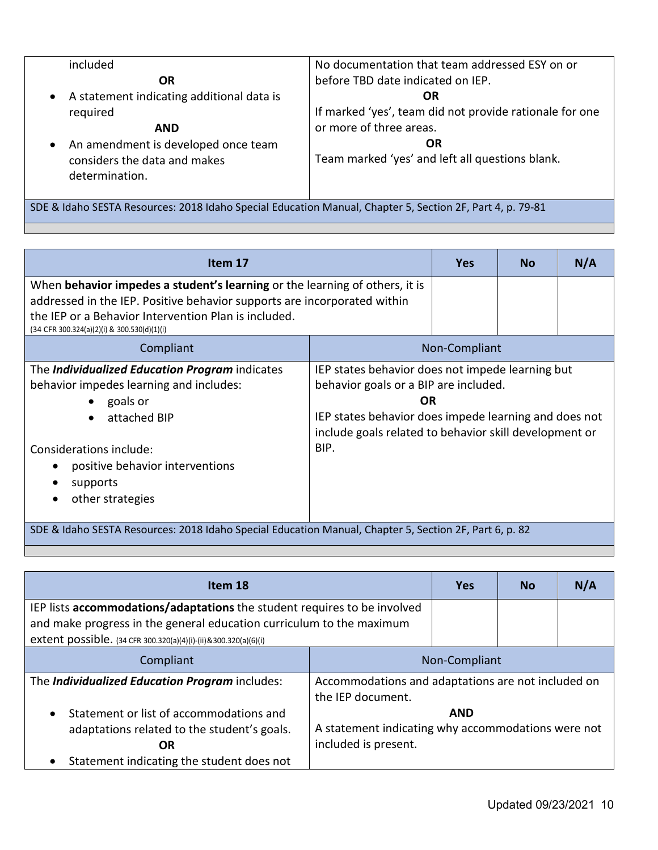| included                                    | No documentation that team addressed ESY on or          |
|---------------------------------------------|---------------------------------------------------------|
| <b>OR</b>                                   | before TBD date indicated on IEP.                       |
| • A statement indicating additional data is | <b>OR</b>                                               |
| required                                    | If marked 'yes', team did not provide rationale for one |
| <b>AND</b>                                  | or more of three areas.                                 |
| An amendment is developed once team         | OR                                                      |
| considers the data and makes                | Team marked 'yes' and left all questions blank.         |
| determination.                              |                                                         |
|                                             |                                                         |

SDE & Idaho SESTA Resources: 2018 Idaho Special Education Manual, Chapter 5, Section 2F, Part 4, p. 79-81

| Item 17                                                                                                                                                 |                                                                                                                                                                                                                           | <b>Yes</b>    | <b>No</b> | N/A |
|---------------------------------------------------------------------------------------------------------------------------------------------------------|---------------------------------------------------------------------------------------------------------------------------------------------------------------------------------------------------------------------------|---------------|-----------|-----|
| When behavior impedes a student's learning or the learning of others, it is<br>addressed in the IEP. Positive behavior supports are incorporated within |                                                                                                                                                                                                                           |               |           |     |
| the IEP or a Behavior Intervention Plan is included.<br>(34 CFR 300.324(a)(2)(i) & 300.530(d)(1)(i)                                                     |                                                                                                                                                                                                                           |               |           |     |
| Compliant                                                                                                                                               |                                                                                                                                                                                                                           | Non-Compliant |           |     |
| The Individualized Education Program indicates<br>behavior impedes learning and includes:<br>goals or<br>$\bullet$<br>attached BIP<br>$\bullet$         | IEP states behavior does not impede learning but<br>behavior goals or a BIP are included.<br><b>OR</b><br>IEP states behavior does impede learning and does not<br>include goals related to behavior skill development or |               |           |     |
| Considerations include:<br>positive behavior interventions<br>supports<br>other strategies                                                              | BIP.                                                                                                                                                                                                                      |               |           |     |
| SDE & Idaho SESTA Resources: 2018 Idaho Special Education Manual, Chapter 5, Section 2F, Part 6, p. 82                                                  |                                                                                                                                                                                                                           |               |           |     |

|                                                                                                                                                                                                                     | <b>Yes</b> | <b>No</b> | N/A                                                                                                      |
|---------------------------------------------------------------------------------------------------------------------------------------------------------------------------------------------------------------------|------------|-----------|----------------------------------------------------------------------------------------------------------|
| IEP lists accommodations/adaptations the student requires to be involved<br>and make progress in the general education curriculum to the maximum<br>extent possible. (34 CFR 300.320(a)(4)(i)-(ii)&300.320(a)(6)(i) |            |           |                                                                                                          |
| Non-Compliant                                                                                                                                                                                                       |            |           |                                                                                                          |
| the IEP document.                                                                                                                                                                                                   |            |           |                                                                                                          |
| included is present.                                                                                                                                                                                                | <b>AND</b> |           |                                                                                                          |
|                                                                                                                                                                                                                     |            |           | Accommodations and adaptations are not included on<br>A statement indicating why accommodations were not |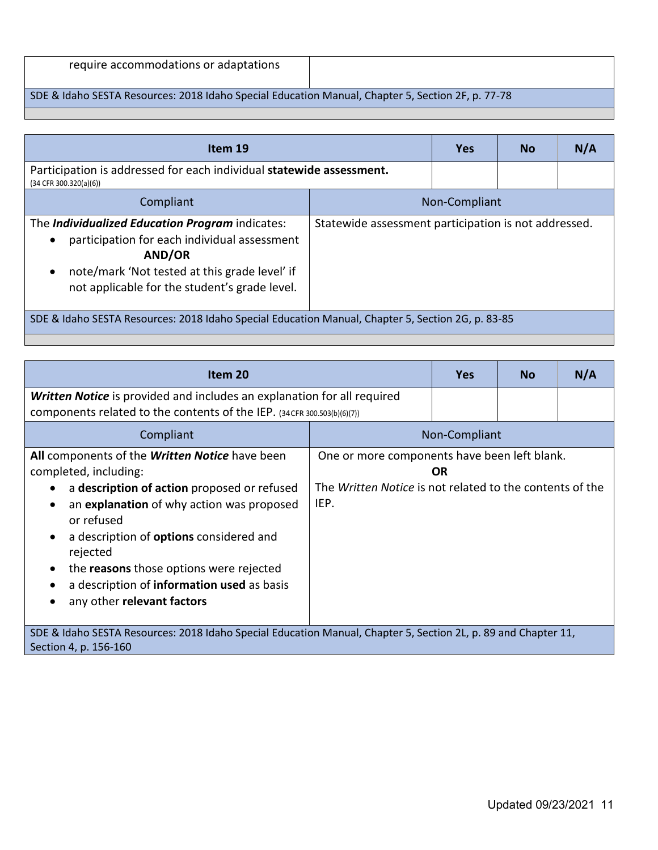| require accommodations or adaptations |  |
|---------------------------------------|--|
|---------------------------------------|--|

# SDE & Idaho SESTA Resources: 2018 Idaho Special Education Manual, Chapter 5, Section 2F, p. 77-78

| Item 19                                                                                                                                                                                                                                             |                                                      | <b>Yes</b> | <b>No</b> | N/A |
|-----------------------------------------------------------------------------------------------------------------------------------------------------------------------------------------------------------------------------------------------------|------------------------------------------------------|------------|-----------|-----|
| Participation is addressed for each individual statewide assessment.<br>$(34$ CFR 300.320(a)(6))                                                                                                                                                    |                                                      |            |           |     |
| Compliant                                                                                                                                                                                                                                           | Non-Compliant                                        |            |           |     |
| The <i>Individualized Education Program</i> indicates:<br>participation for each individual assessment<br>$\bullet$<br><b>AND/OR</b><br>note/mark 'Not tested at this grade level' if<br>$\bullet$<br>not applicable for the student's grade level. | Statewide assessment participation is not addressed. |            |           |     |
| SDE & Idaho SESTA Resources: 2018 Idaho Special Education Manual, Chapter 5, Section 2G, p. 83-85                                                                                                                                                   |                                                      |            |           |     |

| Item 20                                                                                                                                                                                                                                                                                                                                                                |                                                                                                                               | <b>Yes</b> | <b>No</b> | N/A |
|------------------------------------------------------------------------------------------------------------------------------------------------------------------------------------------------------------------------------------------------------------------------------------------------------------------------------------------------------------------------|-------------------------------------------------------------------------------------------------------------------------------|------------|-----------|-----|
| <b>Written Notice</b> is provided and includes an explanation for all required<br>components related to the contents of the IEP. (34CFR 300.503(b)(6)(7))                                                                                                                                                                                                              |                                                                                                                               |            |           |     |
| Compliant                                                                                                                                                                                                                                                                                                                                                              | Non-Compliant                                                                                                                 |            |           |     |
| All components of the Written Notice have been<br>completed, including:<br>a description of action proposed or refused<br>an explanation of why action was proposed<br>or refused<br>a description of <b>options</b> considered and<br>rejected<br>the reasons those options were rejected<br>a description of information used as basis<br>any other relevant factors | One or more components have been left blank.<br><b>OR</b><br>The Written Notice is not related to the contents of the<br>IEP. |            |           |     |
| SDE & Idaho SESTA Resources: 2018 Idaho Special Education Manual, Chapter 5, Section 2L, p. 89 and Chapter 11,<br>Section 4, p. 156-160                                                                                                                                                                                                                                |                                                                                                                               |            |           |     |